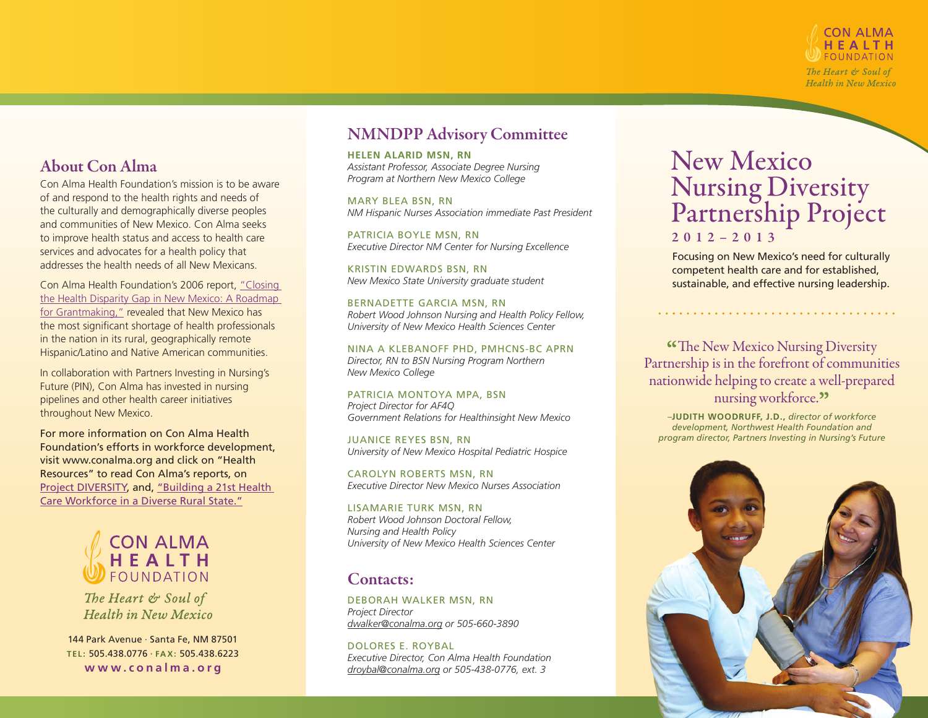

### About Con Alma

Con Alma Health Foundation's mission is to be aware of and respond to the health rights and needs of the culturally and demographically diverse peoples and communities of New Mexico. Con Alma seeks to improve health status and access to health care services and advocates for a health policy that addresses the health needs of all New Mexicans.

Con Alma Health Foundation's 2006 report, ["Closing](http://conalma.org/wp-content/uploads/2011/07/Health-Disparities-Insert.pdf)  [the Health Disparity Gap in New Mexico: A Roadmap](http://conalma.org/wp-content/uploads/2011/07/Health-Disparities-Insert.pdf)  [for Grantmaking,"](http://conalma.org/wp-content/uploads/2011/07/Health-Disparities-Insert.pdf) revealed that New Mexico has the most significant shortage of health professionals in the nation in its rural, geographically remote Hispanic/Latino and Native American communities.

In collaboration with Partners Investing in Nursing's Future (PIN), Con Alma has invested in nursing pipelines and other health career initiatives throughout New Mexico.

For more information on Con Alma Health Foundation's efforts in workforce development, visit www.conalma.org and click on "Health Resources" to read Con Alma's reports, on [Project DIVERSITY](http://conalma.org/wp-content/uploads/2011/03/2010_0630ProjectDIVERSITY.pdf), and, ["Building a 21st Health](http://conalma.org/wp-content/uploads/2011/03/2010_0729Buildinga21stCentHealthCareWorkforce.pdf )  [Care Workforce in a Diverse Rural State."](http://conalma.org/wp-content/uploads/2011/03/2010_0729Buildinga21stCentHealthCareWorkforce.pdf )



The Heart & Soul of **Health in New Mexico** 

144 Park Avenue · Santa Fe, NM 87501 **TEL:** 505.438.0776 · **FAX:** 505.438.6223 **[www.conalma.org](http://www.conalma.org )**

### NMNDPP Advisory Committee

#### **HELEN ALARID MSN, RN**

*Assistant Professor, Associate Degree Nursing Program at Northern New Mexico College*

MARY BLEA BSN, RN *NM Hispanic Nurses Association immediate Past President*

PATRICIA BOYLE MSN, RN *Executive Director NM Center for Nursing Excellence*

KRISTIN EDWARDS BSN, RN *New Mexico State University graduate student*

BERNADETTE GARCIA MSN, RN *Robert Wood Johnson Nursing and Health Policy Fellow, University of New Mexico Health Sciences Center*

NINA A KLEBANOFF PHD, PMHCNS-BC APRN *Director, RN to BSN Nursing Program Northern New Mexico College*

PATRICIA MONTOYA MPA, BSN *Project Director for AF4Q Government Relations for Healthinsight New Mexico*

JUANICE REYES BSN, RN *University of New Mexico Hospital Pediatric Hospice*

CAROLYN ROBERTS MSN, RN *Executive Director New Mexico Nurses Association*

LISAMARIE TURK MSN, RN *Robert Wood Johnson Doctoral Fellow, Nursing and Health Policy University of New Mexico Health Sciences Center*

#### Contacts:

DEBORAH WALKER MSN, RN *Project Director [dwalker@conalma.org](mailto:dwalker%40conalma.org?subject=) or 505-660-3890*

DOLORES E. ROYBAL *Executive Director, Con Alma Health Foundation [droybal@conalma.org](mailto:droybal%40conalma.org?subject=) or 505-438-0776, ext. 3* 

# New Mexico Nursing Diversity Partnership Project 2012–2013

Focusing on New Mexico's need for culturally competent health care and for established, sustainable, and effective nursing leadership.

"The New Mexico Nursing Diversity" Partnership is in the forefront of communities nationwide helping to create a well-prepared nursing workforce." *–***JUDITH WOODRUFF, J.D.,** *director of workforce* 

*development, Northwest Health Foundation and program director, Partners Investing in Nursing's Future*